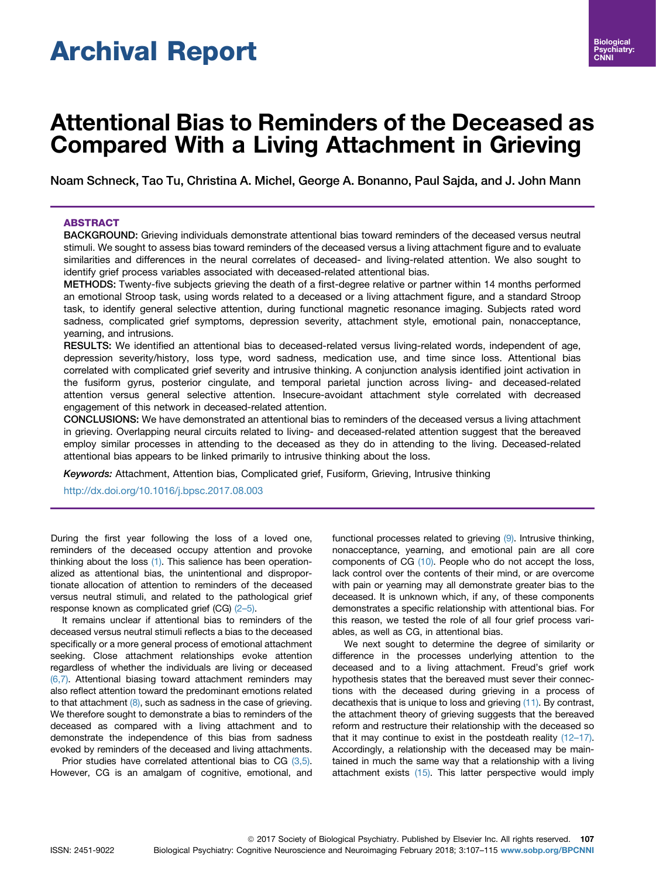# Archival Report

# Attentional Bias to Reminders of the Deceased as Compared With a Living Attachment in Grieving

Noam Schneck, Tao Tu, Christina A. Michel, George A. Bonanno, Paul Sajda, and J. John Mann

# ABSTRACT

BACKGROUND: Grieving individuals demonstrate attentional bias toward reminders of the deceased versus neutral stimuli. We sought to assess bias toward reminders of the deceased versus a living attachment figure and to evaluate similarities and differences in the neural correlates of deceased- and living-related attention. We also sought to identify grief process variables associated with deceased-related attentional bias.

METHODS: Twenty-five subjects grieving the death of a first-degree relative or partner within 14 months performed an emotional Stroop task, using words related to a deceased or a living attachment figure, and a standard Stroop task, to identify general selective attention, during functional magnetic resonance imaging. Subjects rated word sadness, complicated grief symptoms, depression severity, attachment style, emotional pain, nonacceptance, yearning, and intrusions.

RESULTS: We identified an attentional bias to deceased-related versus living-related words, independent of age, depression severity/history, loss type, word sadness, medication use, and time since loss. Attentional bias correlated with complicated grief severity and intrusive thinking. A conjunction analysis identified joint activation in the fusiform gyrus, posterior cingulate, and temporal parietal junction across living- and deceased-related attention versus general selective attention. Insecure-avoidant attachment style correlated with decreased engagement of this network in deceased-related attention.

CONCLUSIONS: We have demonstrated an attentional bias to reminders of the deceased versus a living attachment in grieving. Overlapping neural circuits related to living- and deceased-related attention suggest that the bereaved employ similar processes in attending to the deceased as they do in attending to the living. Deceased-related attentional bias appears to be linked primarily to intrusive thinking about the loss.

Keywords: Attachment, Attention bias, Complicated grief, Fusiform, Grieving, Intrusive thinking

<http://dx.doi.org/10.1016/j.bpsc.2017.08.003>

During the first year following the loss of a loved one, reminders of the deceased occupy attention and provoke thinking about the loss [\(1\)](#page-7-0). This salience has been operationalized as attentional bias, the unintentional and disproportionate allocation of attention to reminders of the deceased versus neutral stimuli, and related to the pathological grief response known as complicated grief (CG) [\(2](#page-8-0)–5).

It remains unclear if attentional bias to reminders of the deceased versus neutral stimuli reflects a bias to the deceased specifically or a more general process of emotional attachment seeking. Close attachment relationships evoke attention regardless of whether the individuals are living or deceased [\(6,7\).](#page-8-0) Attentional biasing toward attachment reminders may also reflect attention toward the predominant emotions related to that attachment  $(8)$ , such as sadness in the case of grieving. We therefore sought to demonstrate a bias to reminders of the deceased as compared with a living attachment and to demonstrate the independence of this bias from sadness evoked by reminders of the deceased and living attachments.

Prior studies have correlated attentional bias to CG [\(3,5\)](#page-8-0). However, CG is an amalgam of cognitive, emotional, and

functional processes related to grieving [\(9\)](#page-8-0). Intrusive thinking, nonacceptance, yearning, and emotional pain are all core components of CG [\(10\)](#page-8-0). People who do not accept the loss, lack control over the contents of their mind, or are overcome with pain or yearning may all demonstrate greater bias to the deceased. It is unknown which, if any, of these components demonstrates a specific relationship with attentional bias. For this reason, we tested the role of all four grief process variables, as well as CG, in attentional bias.

We next sought to determine the degree of similarity or difference in the processes underlying attention to the deceased and to a living attachment. Freud's grief work hypothesis states that the bereaved must sever their connections with the deceased during grieving in a process of decathexis that is unique to loss and grieving [\(11\)](#page-8-0). By contrast, the attachment theory of grieving suggests that the bereaved reform and restructure their relationship with the deceased so that it may continue to exist in the postdeath reality (12–[17\).](#page-8-0) Accordingly, a relationship with the deceased may be maintained in much the same way that a relationship with a living attachment exists [\(15\).](#page-8-0) This latter perspective would imply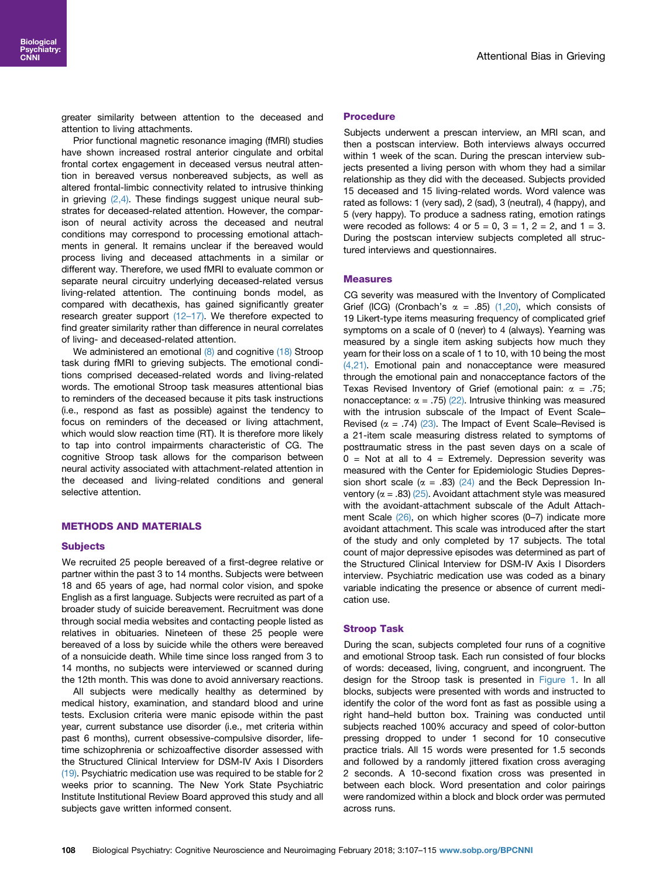greater similarity between attention to the deceased and attention to living attachments.

Prior functional magnetic resonance imaging (fMRI) studies have shown increased rostral anterior cingulate and orbital frontal cortex engagement in deceased versus neutral attention in bereaved versus nonbereaved subjects, as well as altered frontal-limbic connectivity related to intrusive thinking in grieving  $(2,4)$ . These findings suggest unique neural substrates for deceased-related attention. However, the comparison of neural activity across the deceased and neutral conditions may correspond to processing emotional attachments in general. It remains unclear if the bereaved would process living and deceased attachments in a similar or different way. Therefore, we used fMRI to evaluate common or separate neural circuitry underlying deceased-related versus living-related attention. The continuing bonds model, as compared with decathexis, has gained significantly greater research greater support (12–[17\).](#page-8-0) We therefore expected to find greater similarity rather than difference in neural correlates of living- and deceased-related attention.

We administered an emotional [\(8\)](#page-8-0) and cognitive [\(18\)](#page-8-0) Stroop task during fMRI to grieving subjects. The emotional conditions comprised deceased-related words and living-related words. The emotional Stroop task measures attentional bias to reminders of the deceased because it pits task instructions (i.e., respond as fast as possible) against the tendency to focus on reminders of the deceased or living attachment, which would slow reaction time (RT). It is therefore more likely to tap into control impairments characteristic of CG. The cognitive Stroop task allows for the comparison between neural activity associated with attachment-related attention in the deceased and living-related conditions and general selective attention.

# METHODS AND MATERIALS

#### **Subjects**

We recruited 25 people bereaved of a first-degree relative or partner within the past 3 to 14 months. Subjects were between 18 and 65 years of age, had normal color vision, and spoke English as a first language. Subjects were recruited as part of a broader study of suicide bereavement. Recruitment was done through social media websites and contacting people listed as relatives in obituaries. Nineteen of these 25 people were bereaved of a loss by suicide while the others were bereaved of a nonsuicide death. While time since loss ranged from 3 to 14 months, no subjects were interviewed or scanned during the 12th month. This was done to avoid anniversary reactions.

All subjects were medically healthy as determined by medical history, examination, and standard blood and urine tests. Exclusion criteria were manic episode within the past year, current substance use disorder (i.e., met criteria within past 6 months), current obsessive-compulsive disorder, lifetime schizophrenia or schizoaffective disorder assessed with the Structured Clinical Interview for DSM-IV Axis I Disorders [\(19\)](#page-8-0). Psychiatric medication use was required to be stable for 2 weeks prior to scanning. The New York State Psychiatric Institute Institutional Review Board approved this study and all subjects gave written informed consent.

## Procedure

Subjects underwent a prescan interview, an MRI scan, and then a postscan interview. Both interviews always occurred within 1 week of the scan. During the prescan interview subjects presented a living person with whom they had a similar relationship as they did with the deceased. Subjects provided 15 deceased and 15 living-related words. Word valence was rated as follows: 1 (very sad), 2 (sad), 3 (neutral), 4 (happy), and 5 (very happy). To produce a sadness rating, emotion ratings were recoded as follows:  $4$  or  $5 = 0$ ,  $3 = 1$ ,  $2 = 2$ , and  $1 = 3$ . During the postscan interview subjects completed all structured interviews and questionnaires.

#### **Measures**

CG severity was measured with the Inventory of Complicated Grief (ICG) (Cronbach's  $\alpha = .85$ ) [\(1,20\)](#page-7-0), which consists of 19 Likert-type items measuring frequency of complicated grief symptoms on a scale of 0 (never) to 4 (always). Yearning was measured by a single item asking subjects how much they yearn for their loss on a scale of 1 to 10, with 10 being the most [\(4,21\).](#page-8-0) Emotional pain and nonacceptance were measured through the emotional pain and nonacceptance factors of the Texas Revised Inventory of Grief (emotional pain:  $\alpha = .75$ ; nonacceptance:  $\alpha = .75$ ) [\(22\).](#page-8-0) Intrusive thinking was measured with the intrusion subscale of the Impact of Event Scale– Revised ( $\alpha$  = .74) [\(23\).](#page-8-0) The Impact of Event Scale–Revised is a 21-item scale measuring distress related to symptoms of posttraumatic stress in the past seven days on a scale of  $0 =$  Not at all to  $4 =$  Extremely. Depression severity was measured with the Center for Epidemiologic Studies Depression short scale ( $\alpha$  = .83) [\(24\)](#page-8-0) and the Beck Depression Inventory ( $\alpha = .83$ ) [\(25\).](#page-8-0) Avoidant attachment style was measured with the avoidant-attachment subscale of the Adult Attach-ment Scale [\(26\),](#page-8-0) on which higher scores (0-7) indicate more avoidant attachment. This scale was introduced after the start of the study and only completed by 17 subjects. The total count of major depressive episodes was determined as part of the Structured Clinical Interview for DSM-IV Axis I Disorders interview. Psychiatric medication use was coded as a binary variable indicating the presence or absence of current medication use.

#### Stroop Task

During the scan, subjects completed four runs of a cognitive and emotional Stroop task. Each run consisted of four blocks of words: deceased, living, congruent, and incongruent. The design for the Stroop task is presented in [Figure 1.](#page-2-0) In all blocks, subjects were presented with words and instructed to identify the color of the word font as fast as possible using a right hand–held button box. Training was conducted until subjects reached 100% accuracy and speed of color-button pressing dropped to under 1 second for 10 consecutive practice trials. All 15 words were presented for 1.5 seconds and followed by a randomly jittered fixation cross averaging 2 seconds. A 10-second fixation cross was presented in between each block. Word presentation and color pairings were randomized within a block and block order was permuted across runs.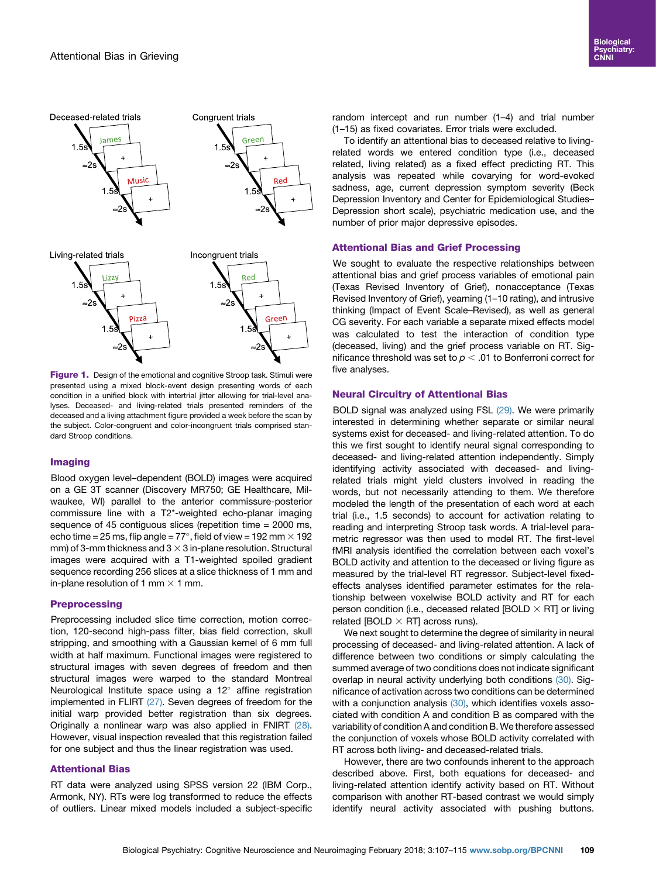<span id="page-2-0"></span>



Figure 1. Design of the emotional and cognitive Stroop task. Stimuli were presented using a mixed block-event design presenting words of each condition in a unified block with intertrial jitter allowing for trial-level analyses. Deceased- and living-related trials presented reminders of the deceased and a living attachment figure provided a week before the scan by the subject. Color-congruent and color-incongruent trials comprised standard Stroop conditions.

# Imaging

Blood oxygen level–dependent (BOLD) images were acquired on a GE 3T scanner (Discovery MR750; GE Healthcare, Milwaukee, WI) parallel to the anterior commissure-posterior commissure line with a T2\*-weighted echo-planar imaging sequence of 45 contiguous slices (repetition time = 2000 ms, echo time = 25 ms, flip angle = 77°, field of view = 192 mm  $\times$  192 mm) of 3-mm thickness and 3  $\times$  3 in-plane resolution. Structural images were acquired with a T1-weighted spoiled gradient sequence recording 256 slices at a slice thickness of 1 mm and in-plane resolution of 1 mm  $\times$  1 mm.

# **Preprocessing**

Preprocessing included slice time correction, motion correction, 120-second high-pass filter, bias field correction, skull stripping, and smoothing with a Gaussian kernel of 6 mm full width at half maximum. Functional images were registered to structural images with seven degrees of freedom and then structural images were warped to the standard Montreal Neurological Institute space using a  $12^{\circ}$  affine registration implemented in FLIRT [\(27\).](#page-8-0) Seven degrees of freedom for the initial warp provided better registration than six degrees. Originally a nonlinear warp was also applied in FNIRT [\(28\)](#page-8-0). However, visual inspection revealed that this registration failed for one subject and thus the linear registration was used.

# Attentional Bias

RT data were analyzed using SPSS version 22 (IBM Corp., Armonk, NY). RTs were log transformed to reduce the effects of outliers. Linear mixed models included a subject-specific random intercept and run number (1–4) and trial number (1–15) as fixed covariates. Error trials were excluded.

To identify an attentional bias to deceased relative to livingrelated words we entered condition type (i.e., deceased related, living related) as a fixed effect predicting RT. This analysis was repeated while covarying for word-evoked sadness, age, current depression symptom severity (Beck Depression Inventory and Center for Epidemiological Studies– Depression short scale), psychiatric medication use, and the number of prior major depressive episodes.

# Attentional Bias and Grief Processing

We sought to evaluate the respective relationships between attentional bias and grief process variables of emotional pain (Texas Revised Inventory of Grief), nonacceptance (Texas Revised Inventory of Grief), yearning (1–10 rating), and intrusive thinking (Impact of Event Scale–Revised), as well as general CG severity. For each variable a separate mixed effects model was calculated to test the interaction of condition type (deceased, living) and the grief process variable on RT. Significance threshold was set to  $p < .01$  to Bonferroni correct for five analyses.

# Neural Circuitry of Attentional Bias

BOLD signal was analyzed using FSL [\(29\).](#page-8-0) We were primarily interested in determining whether separate or similar neural systems exist for deceased- and living-related attention. To do this we first sought to identify neural signal corresponding to deceased- and living-related attention independently. Simply identifying activity associated with deceased- and livingrelated trials might yield clusters involved in reading the words, but not necessarily attending to them. We therefore modeled the length of the presentation of each word at each trial (i.e., 1.5 seconds) to account for activation relating to reading and interpreting Stroop task words. A trial-level parametric regressor was then used to model RT. The first-level fMRI analysis identified the correlation between each voxel's BOLD activity and attention to the deceased or living figure as measured by the trial-level RT regressor. Subject-level fixedeffects analyses identified parameter estimates for the relationship between voxelwise BOLD activity and RT for each person condition (i.e., deceased related [BOLD  $\times$  RT] or living related [BOLD  $\times$  RT] across runs).

We next sought to determine the degree of similarity in neural processing of deceased- and living-related attention. A lack of difference between two conditions or simply calculating the summed average of two conditions does not indicate significant overlap in neural activity underlying both conditions [\(30\)](#page-8-0). Significance of activation across two conditions can be determined with a conjunction analysis [\(30\)](#page-8-0), which identifies voxels associated with condition A and condition B as compared with the variability of condition A and condition B. We therefore assessed the conjunction of voxels whose BOLD activity correlated with RT across both living- and deceased-related trials.

However, there are two confounds inherent to the approach described above. First, both equations for deceased- and living-related attention identify activity based on RT. Without comparison with another RT-based contrast we would simply identify neural activity associated with pushing buttons.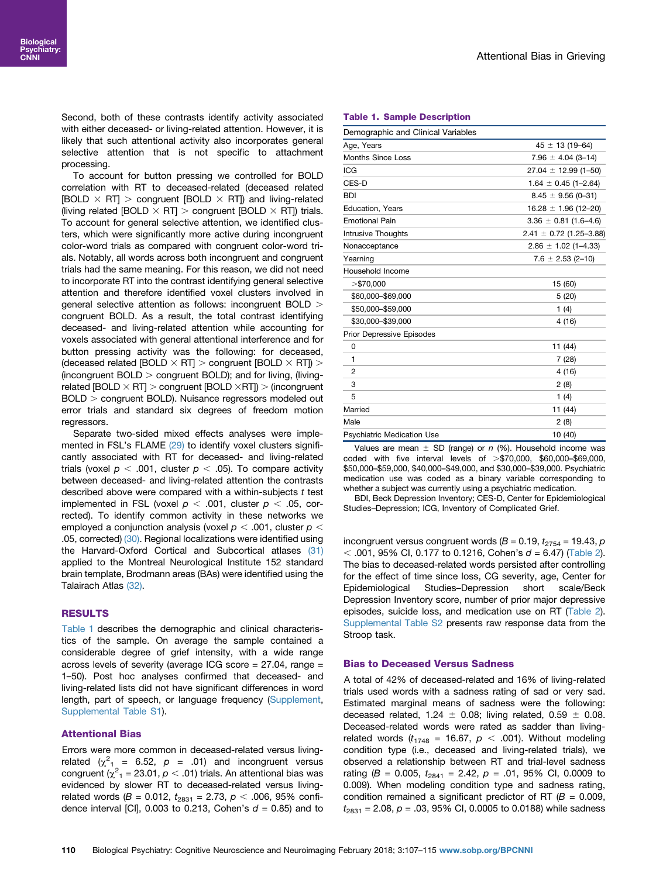Second, both of these contrasts identify activity associated with either deceased- or living-related attention. However, it is likely that such attentional activity also incorporates general selective attention that is not specific to attachment processing.

To account for button pressing we controlled for BOLD correlation with RT to deceased-related (deceased related [BOLD  $\times$  RT]  $>$  congruent [BOLD  $\times$  RT]) and living-related (living related [BOLD  $\times$  RT]  $>$  congruent [BOLD  $\times$  RT]) trials. To account for general selective attention, we identified clusters, which were significantly more active during incongruent color-word trials as compared with congruent color-word trials. Notably, all words across both incongruent and congruent trials had the same meaning. For this reason, we did not need to incorporate RT into the contrast identifying general selective attention and therefore identified voxel clusters involved in general selective attention as follows: incongruent BOLD > congruent BOLD. As a result, the total contrast identifying deceased- and living-related attention while accounting for voxels associated with general attentional interference and for button pressing activity was the following: for deceased, (deceased related [BOLD  $\times$  RT]  $>$  congruent [BOLD  $\times$  RT])  $>$ (incongruent BOLD  $>$  congruent BOLD); and for living, (livingrelated  $[BOLD \times RT] >$  congruent  $[BOLD \times RT]$ ) > (incongruent BOLD > congruent BOLD). Nuisance regressors modeled out error trials and standard six degrees of freedom motion regressors.

Separate two-sided mixed effects analyses were implemented in FSL's FLAME [\(29\)](#page-8-0) to identify voxel clusters significantly associated with RT for deceased- and living-related trials (voxel  $p < .001$ , cluster  $p < .05$ ). To compare activity between deceased- and living-related attention the contrasts described above were compared with a within-subjects  $t$  test implemented in FSL (voxel  $p < .001$ , cluster  $p < .05$ , corrected). To identify common activity in these networks we employed a conjunction analysis (voxel  $p < .001$ , cluster  $p <$ .05, corrected) [\(30\)](#page-8-0). Regional localizations were identified using the Harvard-Oxford Cortical and Subcortical atlases [\(31\)](#page-8-0) applied to the Montreal Neurological Institute 152 standard brain template, Brodmann areas (BAs) were identified using the Talairach Atlas [\(32\).](#page-8-0)

# RESULTS

Table 1 describes the demographic and clinical characteristics of the sample. On average the sample contained a considerable degree of grief intensity, with a wide range across levels of severity (average ICG score = 27.04, range = 1–50). Post hoc analyses confirmed that deceased- and living-related lists did not have significant differences in word length, part of speech, or language frequency (Supplement, Supplemental Table S1).

# Attentional Bias

Errors were more common in deceased-related versus livingrelated ( $\chi^2_{1}$  = 6.52,  $p$  = .01) and incongruent versus congruent ( $\chi^2$ <sub>1</sub> = 23.01,  $\rho$  < .01) trials. An attentional bias was evidenced by slower RT to deceased-related versus livingrelated words (B = 0.012,  $t_{2831}$  = 2.73,  $p < .006$ , 95% confidence interval [CI], 0.003 to 0.213, Cohen's  $d = 0.85$ ) and to

#### Table 1. Sample Description

| Demographic and Clinical Variables |                             |  |  |  |  |
|------------------------------------|-----------------------------|--|--|--|--|
| Age, Years                         | $45 \pm 13(19 - 64)$        |  |  |  |  |
| Months Since Loss                  | $7.96 \pm 4.04$ (3-14)      |  |  |  |  |
| <b>ICG</b>                         | $27.04 \pm 12.99$ (1-50)    |  |  |  |  |
| CES-D                              | $1.64 \pm 0.45$ (1-2.64)    |  |  |  |  |
| <b>BDI</b>                         | $8.45 \pm 9.56$ (0-31)      |  |  |  |  |
| Education, Years                   | $16.28 \pm 1.96$ (12-20)    |  |  |  |  |
| <b>Emotional Pain</b>              | $3.36 \pm 0.81$ (1.6-4.6)   |  |  |  |  |
| <b>Intrusive Thoughts</b>          | $2.41 \pm 0.72$ (1.25-3.88) |  |  |  |  |
| Nonacceptance                      | $2.86 \pm 1.02$ (1-4.33)    |  |  |  |  |
| Yearning                           | $7.6 \pm 2.53$ (2-10)       |  |  |  |  |
| Household Income                   |                             |  |  |  |  |
| $>$ \$70,000                       | 15 (60)                     |  |  |  |  |
| \$60,000-\$69,000                  | 5(20)                       |  |  |  |  |
| \$50,000-\$59,000                  | 1(4)                        |  |  |  |  |
| \$30,000-\$39,000                  | 4(16)                       |  |  |  |  |
| <b>Prior Depressive Episodes</b>   |                             |  |  |  |  |
| 0                                  | 11 (44)                     |  |  |  |  |
| 1                                  | 7(28)                       |  |  |  |  |
| $\overline{2}$                     | 4 (16)                      |  |  |  |  |
| 3                                  | 2(8)                        |  |  |  |  |
| 5                                  | 1(4)                        |  |  |  |  |
| Married                            | 11 (44)                     |  |  |  |  |
| Male                               | 2(8)                        |  |  |  |  |
| <b>Psychiatric Medication Use</b>  | 10 (40)                     |  |  |  |  |

Values are mean  $\pm$  SD (range) or n (%). Household income was coded with five interval levels of  $\geq$ \$70,000, \$60,000–\$69,000, \$50,000–\$59,000, \$40,000–\$49,000, and \$30,000–\$39,000. Psychiatric medication use was coded as a binary variable corresponding to whether a subject was currently using a psychiatric medication.

BDI, Beck Depression Inventory; CES-D, Center for Epidemiological Studies–Depression; ICG, Inventory of Complicated Grief.

incongruent versus congruent words ( $B = 0.19$ ,  $t_{2754} = 19.43$ ,  $p$  $<$  .001, 95% CI, 0.177 to 0.1216, Cohen's  $d = 6.47$ ) ([Table 2\)](#page-4-0). The bias to deceased-related words persisted after controlling for the effect of time since loss, CG severity, age, Center for Epidemiological Studies–Depression short scale/Beck Depression Inventory score, number of prior major depressive episodes, suicide loss, and medication use on RT ([Table 2\)](#page-4-0). Supplemental Table S2 presents raw response data from the Stroop task.

# Bias to Deceased Versus Sadness

A total of 42% of deceased-related and 16% of living-related trials used words with a sadness rating of sad or very sad. Estimated marginal means of sadness were the following: deceased related, 1.24  $\pm$  0.08; living related, 0.59  $\pm$  0.08. Deceased-related words were rated as sadder than livingrelated words ( $t_{1748}$  = 16.67,  $p < .001$ ). Without modeling condition type (i.e., deceased and living-related trials), we observed a relationship between RT and trial-level sadness rating (B = 0.005,  $t_{2841}$  = 2.42,  $p$  = .01, 95% CI, 0.0009 to 0.009). When modeling condition type and sadness rating, condition remained a significant predictor of RT ( $B = 0.009$ ,  $t_{2831}$  = 2.08,  $p = .03$ , 95% CI, 0.0005 to 0.0188) while sadness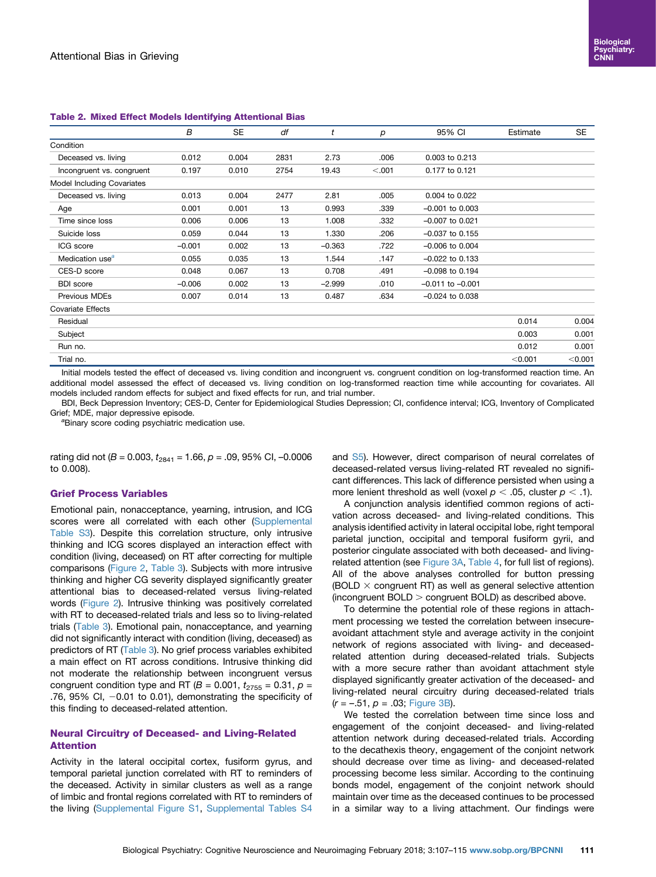|                             | В        | SE    | df   | t        | р      | 95% CI               | Estimate | SE      |
|-----------------------------|----------|-------|------|----------|--------|----------------------|----------|---------|
| Condition                   |          |       |      |          |        |                      |          |         |
| Deceased vs. living         | 0.012    | 0.004 | 2831 | 2.73     | .006   | 0.003 to 0.213       |          |         |
| Incongruent vs. congruent   | 0.197    | 0.010 | 2754 | 19.43    | < .001 | 0.177 to 0.121       |          |         |
| Model Including Covariates  |          |       |      |          |        |                      |          |         |
| Deceased vs. living         | 0.013    | 0.004 | 2477 | 2.81     | .005   | 0.004 to 0.022       |          |         |
| Age                         | 0.001    | 0.001 | 13   | 0.993    | .339   | $-0.001$ to $0.003$  |          |         |
| Time since loss             | 0.006    | 0.006 | 13   | 1.008    | .332   | $-0.007$ to 0.021    |          |         |
| Suicide loss                | 0.059    | 0.044 | 13   | 1.330    | .206   | $-0.037$ to 0.155    |          |         |
| ICG score                   | $-0.001$ | 0.002 | 13   | $-0.363$ | .722   | $-0.006$ to $0.004$  |          |         |
| Medication use <sup>a</sup> | 0.055    | 0.035 | 13   | 1.544    | .147   | $-0.022$ to 0.133    |          |         |
| CES-D score                 | 0.048    | 0.067 | 13   | 0.708    | .491   | $-0.098$ to 0.194    |          |         |
| <b>BDI</b> score            | $-0.006$ | 0.002 | 13   | $-2.999$ | .010   | $-0.011$ to $-0.001$ |          |         |
| Previous MDEs               | 0.007    | 0.014 | 13   | 0.487    | .634   | $-0.024$ to $0.038$  |          |         |
| <b>Covariate Effects</b>    |          |       |      |          |        |                      |          |         |
| Residual                    |          |       |      |          |        |                      | 0.014    | 0.004   |
| Subject                     |          |       |      |          |        |                      | 0.003    | 0.001   |
| Run no.                     |          |       |      |          |        |                      | 0.012    | 0.001   |
| Trial no.                   |          |       |      |          |        |                      | < 0.001  | < 0.001 |
|                             |          |       |      |          |        |                      |          |         |

#### <span id="page-4-0"></span>Table 2. Mixed Effect Models Identifying Attentional Bias

Initial models tested the effect of deceased vs. living condition and incongruent vs. congruent condition on log-transformed reaction time. An additional model assessed the effect of deceased vs. living condition on log-transformed reaction time while accounting for covariates. All models included random effects for subject and fixed effects for run, and trial number.

BDI, Beck Depression Inventory; CES-D, Center for Epidemiological Studies Depression; CI, confidence interval; ICG, Inventory of Complicated Grief: MDE, major depressive episode.

<sup>a</sup>Binary score coding psychiatric medication use.

rating did not ( $B = 0.003$ ,  $t_{2841} = 1.66$ ,  $p = .09$ , 95% CI, -0.0006 to 0.008).

# Grief Process Variables

Emotional pain, nonacceptance, yearning, intrusion, and ICG scores were all correlated with each other (Supplemental Table S3). Despite this correlation structure, only intrusive thinking and ICG scores displayed an interaction effect with condition (living, deceased) on RT after correcting for multiple comparisons [\(Figure 2,](#page-5-0) [Table 3](#page-6-0)). Subjects with more intrusive thinking and higher CG severity displayed significantly greater attentional bias to deceased-related versus living-related words ([Figure 2\)](#page-5-0). Intrusive thinking was positively correlated with RT to deceased-related trials and less so to living-related trials ([Table 3](#page-6-0)). Emotional pain, nonacceptance, and yearning did not significantly interact with condition (living, deceased) as predictors of RT ([Table 3](#page-6-0)). No grief process variables exhibited a main effect on RT across conditions. Intrusive thinking did not moderate the relationship between incongruent versus congruent condition type and RT ( $B = 0.001$ ,  $t_{2755} = 0.31$ ,  $p =$ .76, 95% CI,  $-0.01$  to 0.01), demonstrating the specificity of this finding to deceased-related attention.

# Neural Circuitry of Deceased- and Living-Related Attention

Activity in the lateral occipital cortex, fusiform gyrus, and temporal parietal junction correlated with RT to reminders of the deceased. Activity in similar clusters as well as a range of limbic and frontal regions correlated with RT to reminders of the living (Supplemental Figure S1, Supplemental Tables S4 and S5). However, direct comparison of neural correlates of deceased-related versus living-related RT revealed no significant differences. This lack of difference persisted when using a more lenient threshold as well (voxel  $p < .05$ , cluster  $p < .1$ ).

A conjunction analysis identified common regions of activation across deceased- and living-related conditions. This analysis identified activity in lateral occipital lobe, right temporal parietal junction, occipital and temporal fusiform gyrii, and posterior cingulate associated with both deceased- and livingrelated attention (see [Figure 3A](#page-6-0), [Table 4](#page-7-0), for full list of regions). All of the above analyses controlled for button pressing (BOLD  $\times$  congruent RT) as well as general selective attention (incongruent  $BOLD >$  congruent  $BOLD$ ) as described above.

To determine the potential role of these regions in attachment processing we tested the correlation between insecureavoidant attachment style and average activity in the conjoint network of regions associated with living- and deceasedrelated attention during deceased-related trials. Subjects with a more secure rather than avoidant attachment style displayed significantly greater activation of the deceased- and living-related neural circuitry during deceased-related trials  $(r = -.51, p = .03;$  [Figure 3B\)](#page-6-0).

We tested the correlation between time since loss and engagement of the conjoint deceased- and living-related attention network during deceased-related trials. According to the decathexis theory, engagement of the conjoint network should decrease over time as living- and deceased-related processing become less similar. According to the continuing bonds model, engagement of the conjoint network should maintain over time as the deceased continues to be processed in a similar way to a living attachment. Our findings were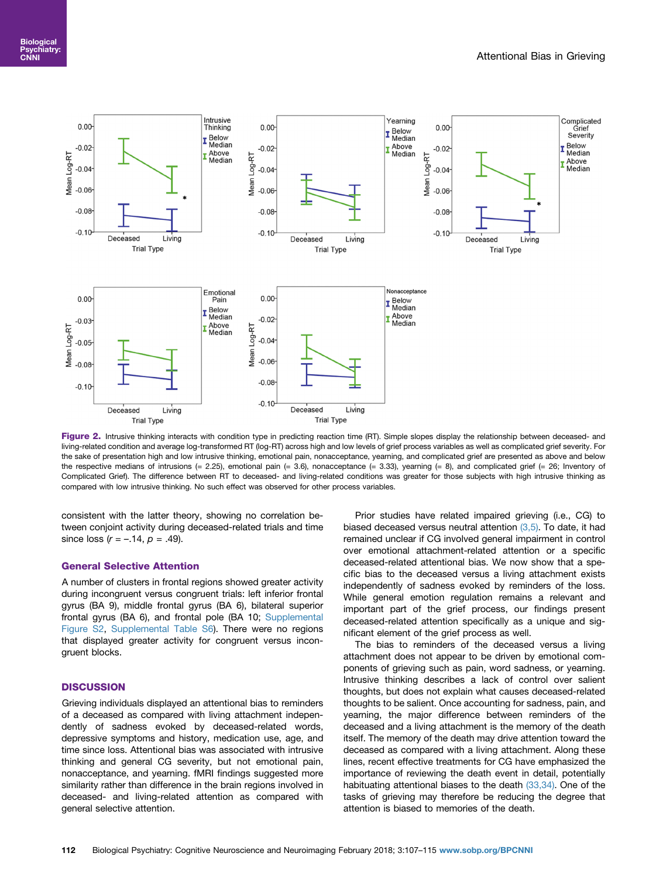<span id="page-5-0"></span>

Figure 2. Intrusive thinking interacts with condition type in predicting reaction time (RT). Simple slopes display the relationship between deceased- and living-related condition and average log-transformed RT (log-RT) across high and low levels of grief process variables as well as complicated grief severity. For the sake of presentation high and low intrusive thinking, emotional pain, nonacceptance, yearning, and complicated grief are presented as above and below the respective medians of intrusions (= 2.25), emotional pain (= 3.6), nonacceptance (= 3.33), yearning (= 8), and complicated grief (= 26; Inventory of Complicated Grief). The difference between RT to deceased- and living-related conditions was greater for those subjects with high intrusive thinking as compared with low intrusive thinking. No such effect was observed for other process variables.

consistent with the latter theory, showing no correlation between conjoint activity during deceased-related trials and time since loss  $(r = -.14, p = .49)$ .

# General Selective Attention

A number of clusters in frontal regions showed greater activity during incongruent versus congruent trials: left inferior frontal gyrus (BA 9), middle frontal gyrus (BA 6), bilateral superior frontal gyrus (BA 6), and frontal pole (BA 10; Supplemental Figure S2, Supplemental Table S6). There were no regions that displayed greater activity for congruent versus incongruent blocks.

# **DISCUSSION**

Grieving individuals displayed an attentional bias to reminders of a deceased as compared with living attachment independently of sadness evoked by deceased-related words, depressive symptoms and history, medication use, age, and time since loss. Attentional bias was associated with intrusive thinking and general CG severity, but not emotional pain, nonacceptance, and yearning. fMRI findings suggested more similarity rather than difference in the brain regions involved in deceased- and living-related attention as compared with general selective attention.

Prior studies have related impaired grieving (i.e., CG) to biased deceased versus neutral attention  $(3,5)$ . To date, it had remained unclear if CG involved general impairment in control over emotional attachment-related attention or a specific deceased-related attentional bias. We now show that a specific bias to the deceased versus a living attachment exists independently of sadness evoked by reminders of the loss. While general emotion regulation remains a relevant and important part of the grief process, our findings present deceased-related attention specifically as a unique and significant element of the grief process as well.

The bias to reminders of the deceased versus a living attachment does not appear to be driven by emotional components of grieving such as pain, word sadness, or yearning. Intrusive thinking describes a lack of control over salient thoughts, but does not explain what causes deceased-related thoughts to be salient. Once accounting for sadness, pain, and yearning, the major difference between reminders of the deceased and a living attachment is the memory of the death itself. The memory of the death may drive attention toward the deceased as compared with a living attachment. Along these lines, recent effective treatments for CG have emphasized the importance of reviewing the death event in detail, potentially habituating attentional biases to the death [\(33,34\).](#page-8-0) One of the tasks of grieving may therefore be reducing the degree that attention is biased to memories of the death.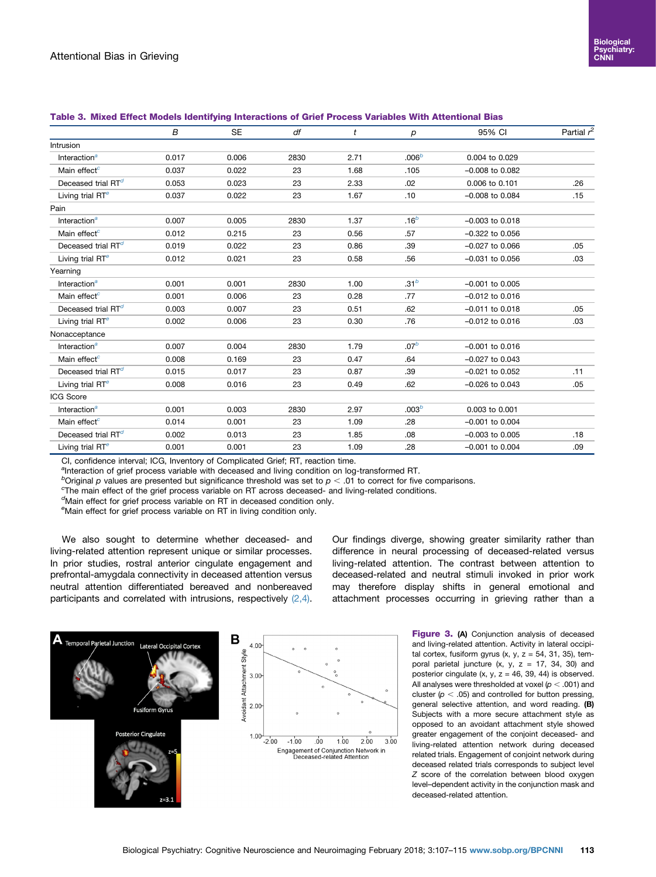| Intrusion<br>.006 <sup>b</sup><br>Interaction <sup>a</sup><br>0.006<br>0.017<br>2830<br>2.71<br>0.004 to 0.029<br>Main effect <sup>c</sup><br>0.037<br>23<br>0.022<br>1.68<br>.105<br>$-0.008$ to $0.082$<br>Deceased trial $RT^d$<br>0.053<br>0.023<br>23<br>2.33<br>.02<br>0.006 to 0.101<br>.26<br>Living trial RT <sup>e</sup><br>0.037<br>0.022<br>23<br>1.67<br>.10<br>$-0.008$ to $0.084$<br>.15<br>Pain<br>.16 <sup>b</sup><br>Interaction <sup>a</sup><br>0.007<br>1.37<br>0.005<br>2830<br>$-0.003$ to $0.018$<br>23<br>Main effect <sup>c</sup><br>0.012<br>0.215<br>0.56<br>.57<br>$-0.322$ to $0.056$<br>Deceased trial $RT^d$<br>0.019<br>23<br>$-0.027$ to $0.066$<br>0.022<br>0.86<br>.39<br>.05<br>Living trial RT <sup>e</sup><br>23<br>.56<br>$-0.031$ to $0.056$<br>0.012<br>0.021<br>0.58<br>.03<br>Yearning<br>.31 <sup>b</sup><br>0.001<br>Interaction <sup>a</sup><br>0.001<br>2830<br>1.00<br>$-0.001$ to $0.005$<br>Main effect <sup>c</sup><br>23<br>$-0.012$ to $0.016$<br>0.001<br>0.006<br>0.28<br>.77<br>Deceased trial $RTd$<br>0.003<br>0.007<br>23<br>0.51<br>.62<br>$-0.011$ to 0.018<br>.05<br>Living trial RT <sup>e</sup><br>0.002<br>0.006<br>23<br>0.30<br>.76<br>$-0.012$ to $0.016$<br>.03<br>Nonacceptance<br>.07 <sup>b</sup><br>0.007<br>Interaction <sup>a</sup><br>0.004<br>2830<br>1.79<br>$-0.001$ to $0.016$<br>Main effect <sup>c</sup><br>0.008<br>0.169<br>23<br>0.47<br>.64<br>$-0.027$ to $0.043$<br>Deceased trial RT <sup>d</sup><br>0.015<br>0.017<br>23<br>0.87<br>.39<br>$-0.021$ to $0.052$<br>.11<br>Living trial RT <sup>e</sup><br>0.008<br>0.016<br>23<br>.62<br>$-0.026$ to $0.043$<br>0.49<br>.05<br>ICG Score<br>.003 <sup>b</sup><br>Interaction <sup>a</sup><br>0.001<br>0.003<br>0.003 to 0.001<br>2830<br>2.97<br>Main effect <sup>c</sup><br>0.014<br>0.001<br>1.09<br>.28<br>$-0.001$ to $0.004$<br>23<br>Deceased trial RT <sup>d</sup><br>23<br>0.002<br>0.013<br>1.85<br>.08<br>$-0.003$ to $0.005$<br>.18 |                              | B     | <b>SE</b> | df | t    | р   | 95% CI              | Partial $r^2$ |
|-----------------------------------------------------------------------------------------------------------------------------------------------------------------------------------------------------------------------------------------------------------------------------------------------------------------------------------------------------------------------------------------------------------------------------------------------------------------------------------------------------------------------------------------------------------------------------------------------------------------------------------------------------------------------------------------------------------------------------------------------------------------------------------------------------------------------------------------------------------------------------------------------------------------------------------------------------------------------------------------------------------------------------------------------------------------------------------------------------------------------------------------------------------------------------------------------------------------------------------------------------------------------------------------------------------------------------------------------------------------------------------------------------------------------------------------------------------------------------------------------------------------------------------------------------------------------------------------------------------------------------------------------------------------------------------------------------------------------------------------------------------------------------------------------------------------------------------------------------------------------------------------------------------------------------------------------------------------------------------------|------------------------------|-------|-----------|----|------|-----|---------------------|---------------|
|                                                                                                                                                                                                                                                                                                                                                                                                                                                                                                                                                                                                                                                                                                                                                                                                                                                                                                                                                                                                                                                                                                                                                                                                                                                                                                                                                                                                                                                                                                                                                                                                                                                                                                                                                                                                                                                                                                                                                                                         |                              |       |           |    |      |     |                     |               |
|                                                                                                                                                                                                                                                                                                                                                                                                                                                                                                                                                                                                                                                                                                                                                                                                                                                                                                                                                                                                                                                                                                                                                                                                                                                                                                                                                                                                                                                                                                                                                                                                                                                                                                                                                                                                                                                                                                                                                                                         |                              |       |           |    |      |     |                     |               |
|                                                                                                                                                                                                                                                                                                                                                                                                                                                                                                                                                                                                                                                                                                                                                                                                                                                                                                                                                                                                                                                                                                                                                                                                                                                                                                                                                                                                                                                                                                                                                                                                                                                                                                                                                                                                                                                                                                                                                                                         |                              |       |           |    |      |     |                     |               |
|                                                                                                                                                                                                                                                                                                                                                                                                                                                                                                                                                                                                                                                                                                                                                                                                                                                                                                                                                                                                                                                                                                                                                                                                                                                                                                                                                                                                                                                                                                                                                                                                                                                                                                                                                                                                                                                                                                                                                                                         |                              |       |           |    |      |     |                     |               |
|                                                                                                                                                                                                                                                                                                                                                                                                                                                                                                                                                                                                                                                                                                                                                                                                                                                                                                                                                                                                                                                                                                                                                                                                                                                                                                                                                                                                                                                                                                                                                                                                                                                                                                                                                                                                                                                                                                                                                                                         |                              |       |           |    |      |     |                     |               |
|                                                                                                                                                                                                                                                                                                                                                                                                                                                                                                                                                                                                                                                                                                                                                                                                                                                                                                                                                                                                                                                                                                                                                                                                                                                                                                                                                                                                                                                                                                                                                                                                                                                                                                                                                                                                                                                                                                                                                                                         |                              |       |           |    |      |     |                     |               |
|                                                                                                                                                                                                                                                                                                                                                                                                                                                                                                                                                                                                                                                                                                                                                                                                                                                                                                                                                                                                                                                                                                                                                                                                                                                                                                                                                                                                                                                                                                                                                                                                                                                                                                                                                                                                                                                                                                                                                                                         |                              |       |           |    |      |     |                     |               |
|                                                                                                                                                                                                                                                                                                                                                                                                                                                                                                                                                                                                                                                                                                                                                                                                                                                                                                                                                                                                                                                                                                                                                                                                                                                                                                                                                                                                                                                                                                                                                                                                                                                                                                                                                                                                                                                                                                                                                                                         |                              |       |           |    |      |     |                     |               |
|                                                                                                                                                                                                                                                                                                                                                                                                                                                                                                                                                                                                                                                                                                                                                                                                                                                                                                                                                                                                                                                                                                                                                                                                                                                                                                                                                                                                                                                                                                                                                                                                                                                                                                                                                                                                                                                                                                                                                                                         |                              |       |           |    |      |     |                     |               |
|                                                                                                                                                                                                                                                                                                                                                                                                                                                                                                                                                                                                                                                                                                                                                                                                                                                                                                                                                                                                                                                                                                                                                                                                                                                                                                                                                                                                                                                                                                                                                                                                                                                                                                                                                                                                                                                                                                                                                                                         |                              |       |           |    |      |     |                     |               |
|                                                                                                                                                                                                                                                                                                                                                                                                                                                                                                                                                                                                                                                                                                                                                                                                                                                                                                                                                                                                                                                                                                                                                                                                                                                                                                                                                                                                                                                                                                                                                                                                                                                                                                                                                                                                                                                                                                                                                                                         |                              |       |           |    |      |     |                     |               |
|                                                                                                                                                                                                                                                                                                                                                                                                                                                                                                                                                                                                                                                                                                                                                                                                                                                                                                                                                                                                                                                                                                                                                                                                                                                                                                                                                                                                                                                                                                                                                                                                                                                                                                                                                                                                                                                                                                                                                                                         |                              |       |           |    |      |     |                     |               |
|                                                                                                                                                                                                                                                                                                                                                                                                                                                                                                                                                                                                                                                                                                                                                                                                                                                                                                                                                                                                                                                                                                                                                                                                                                                                                                                                                                                                                                                                                                                                                                                                                                                                                                                                                                                                                                                                                                                                                                                         |                              |       |           |    |      |     |                     |               |
|                                                                                                                                                                                                                                                                                                                                                                                                                                                                                                                                                                                                                                                                                                                                                                                                                                                                                                                                                                                                                                                                                                                                                                                                                                                                                                                                                                                                                                                                                                                                                                                                                                                                                                                                                                                                                                                                                                                                                                                         |                              |       |           |    |      |     |                     |               |
|                                                                                                                                                                                                                                                                                                                                                                                                                                                                                                                                                                                                                                                                                                                                                                                                                                                                                                                                                                                                                                                                                                                                                                                                                                                                                                                                                                                                                                                                                                                                                                                                                                                                                                                                                                                                                                                                                                                                                                                         |                              |       |           |    |      |     |                     |               |
|                                                                                                                                                                                                                                                                                                                                                                                                                                                                                                                                                                                                                                                                                                                                                                                                                                                                                                                                                                                                                                                                                                                                                                                                                                                                                                                                                                                                                                                                                                                                                                                                                                                                                                                                                                                                                                                                                                                                                                                         |                              |       |           |    |      |     |                     |               |
|                                                                                                                                                                                                                                                                                                                                                                                                                                                                                                                                                                                                                                                                                                                                                                                                                                                                                                                                                                                                                                                                                                                                                                                                                                                                                                                                                                                                                                                                                                                                                                                                                                                                                                                                                                                                                                                                                                                                                                                         |                              |       |           |    |      |     |                     |               |
|                                                                                                                                                                                                                                                                                                                                                                                                                                                                                                                                                                                                                                                                                                                                                                                                                                                                                                                                                                                                                                                                                                                                                                                                                                                                                                                                                                                                                                                                                                                                                                                                                                                                                                                                                                                                                                                                                                                                                                                         |                              |       |           |    |      |     |                     |               |
|                                                                                                                                                                                                                                                                                                                                                                                                                                                                                                                                                                                                                                                                                                                                                                                                                                                                                                                                                                                                                                                                                                                                                                                                                                                                                                                                                                                                                                                                                                                                                                                                                                                                                                                                                                                                                                                                                                                                                                                         |                              |       |           |    |      |     |                     |               |
|                                                                                                                                                                                                                                                                                                                                                                                                                                                                                                                                                                                                                                                                                                                                                                                                                                                                                                                                                                                                                                                                                                                                                                                                                                                                                                                                                                                                                                                                                                                                                                                                                                                                                                                                                                                                                                                                                                                                                                                         |                              |       |           |    |      |     |                     |               |
|                                                                                                                                                                                                                                                                                                                                                                                                                                                                                                                                                                                                                                                                                                                                                                                                                                                                                                                                                                                                                                                                                                                                                                                                                                                                                                                                                                                                                                                                                                                                                                                                                                                                                                                                                                                                                                                                                                                                                                                         |                              |       |           |    |      |     |                     |               |
|                                                                                                                                                                                                                                                                                                                                                                                                                                                                                                                                                                                                                                                                                                                                                                                                                                                                                                                                                                                                                                                                                                                                                                                                                                                                                                                                                                                                                                                                                                                                                                                                                                                                                                                                                                                                                                                                                                                                                                                         |                              |       |           |    |      |     |                     |               |
|                                                                                                                                                                                                                                                                                                                                                                                                                                                                                                                                                                                                                                                                                                                                                                                                                                                                                                                                                                                                                                                                                                                                                                                                                                                                                                                                                                                                                                                                                                                                                                                                                                                                                                                                                                                                                                                                                                                                                                                         |                              |       |           |    |      |     |                     |               |
|                                                                                                                                                                                                                                                                                                                                                                                                                                                                                                                                                                                                                                                                                                                                                                                                                                                                                                                                                                                                                                                                                                                                                                                                                                                                                                                                                                                                                                                                                                                                                                                                                                                                                                                                                                                                                                                                                                                                                                                         |                              |       |           |    |      |     |                     |               |
|                                                                                                                                                                                                                                                                                                                                                                                                                                                                                                                                                                                                                                                                                                                                                                                                                                                                                                                                                                                                                                                                                                                                                                                                                                                                                                                                                                                                                                                                                                                                                                                                                                                                                                                                                                                                                                                                                                                                                                                         | Living trial RT <sup>e</sup> | 0.001 | 0.001     | 23 | 1.09 | .28 | $-0.001$ to $0.004$ | .09           |

## <span id="page-6-0"></span>Table 3. Mixed Effect Models Identifying Interactions of Grief Process Variables With Attentional Bias

CI, confidence interval; ICG, Inventory of Complicated Grief; RT, reaction time.

<sup>a</sup>Interaction of grief process variable with deceased and living condition on log-transformed RT.

boriginal p values are presented but significance threshold was set to  $p < .01$  to correct for five comparisons.

 $\textdegree$ The main effect of the grief process variable on RT across deceased- and living-related conditions.

<sup>d</sup>Main effect for grief process variable on RT in deceased condition only.

<sup>e</sup>Main effect for grief process variable on RT in living condition only.

We also sought to determine whether deceased- and living-related attention represent unique or similar processes. In prior studies, rostral anterior cingulate engagement and prefrontal-amygdala connectivity in deceased attention versus neutral attention differentiated bereaved and nonbereaved participants and correlated with intrusions, respectively [\(2,4\)](#page-8-0).

Our findings diverge, showing greater similarity rather than difference in neural processing of deceased-related versus living-related attention. The contrast between attention to deceased-related and neutral stimuli invoked in prior work may therefore display shifts in general emotional and attachment processes occurring in grieving rather than a



Figure 3. (A) Conjunction analysis of deceased and living-related attention. Activity in lateral occipital cortex, fusiform gyrus  $(x, y, z = 54, 31, 35)$ , temporal parietal juncture  $(x, y, z = 17, 34, 30)$  and posterior cingulate  $(x, y, z = 46, 39, 44)$  is observed. All analyses were thresholded at voxel ( $p < .001$ ) and cluster ( $p < .05$ ) and controlled for button pressing, general selective attention, and word reading. (B) Subjects with a more secure attachment style as opposed to an avoidant attachment style showed greater engagement of the conjoint deceased- and living-related attention network during deceased related trials. Engagement of conjoint network during deceased related trials corresponds to subject level Z score of the correlation between blood oxygen level–dependent activity in the conjunction mask and deceased-related attention.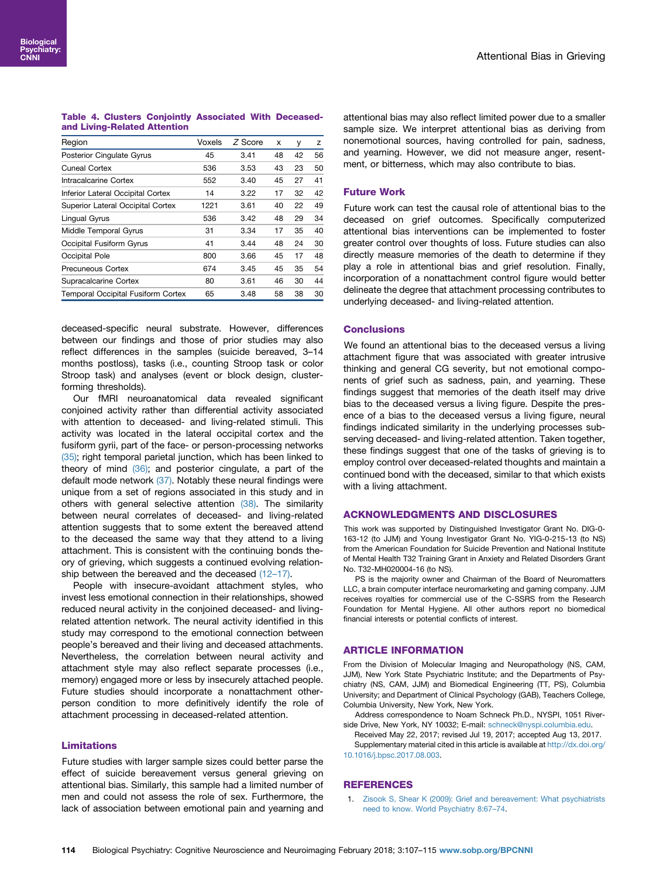## <span id="page-7-0"></span>Table 4. Clusters Conjointly Associated With Deceasedand Living-Related Attention

| Region                                    | Voxels | Z Score | х  | у  | Z  |
|-------------------------------------------|--------|---------|----|----|----|
| <b>Posterior Cinqulate Gyrus</b>          | 45     | 3.41    | 48 | 42 | 56 |
| Cuneal Cortex                             | 536    | 3.53    | 43 | 23 | 50 |
| Intracalcarine Cortex                     | 552    | 3.40    | 45 | 27 | 41 |
| Inferior Lateral Occipital Cortex         | 14     | 3.22    | 17 | 32 | 42 |
| Superior Lateral Occipital Cortex         | 1221   | 3.61    | 40 | 22 | 49 |
| Lingual Gyrus                             | 536    | 3.42    | 48 | 29 | 34 |
| Middle Temporal Gyrus                     | 31     | 3.34    | 17 | 35 | 40 |
| Occipital Fusiform Gyrus                  | 41     | 3.44    | 48 | 24 | 30 |
| Occipital Pole                            | 800    | 3.66    | 45 | 17 | 48 |
| Precuneous Cortex                         | 674    | 3.45    | 45 | 35 | 54 |
| Supracalcarine Cortex                     | 80     | 3.61    | 46 | 30 | 44 |
| <b>Temporal Occipital Fusiform Cortex</b> | 65     | 3.48    | 58 | 38 | 30 |

deceased-specific neural substrate. However, differences between our findings and those of prior studies may also reflect differences in the samples (suicide bereaved, 3–14 months postloss), tasks (i.e., counting Stroop task or color Stroop task) and analyses (event or block design, clusterforming thresholds).

Our fMRI neuroanatomical data revealed significant conjoined activity rather than differential activity associated with attention to deceased- and living-related stimuli. This activity was located in the lateral occipital cortex and the fusiform gyrii, part of the face- or person-processing networks [\(35\)](#page-8-0); right temporal parietal junction, which has been linked to theory of mind [\(36\);](#page-8-0) and posterior cingulate, a part of the default mode network [\(37\)](#page-8-0). Notably these neural findings were unique from a set of regions associated in this study and in others with general selective attention [\(38\)](#page-8-0). The similarity between neural correlates of deceased- and living-related attention suggests that to some extent the bereaved attend to the deceased the same way that they attend to a living attachment. This is consistent with the continuing bonds theory of grieving, which suggests a continued evolving relationship between the bereaved and the deceased  $(12-17)$ .

People with insecure-avoidant attachment styles, who invest less emotional connection in their relationships, showed reduced neural activity in the conjoined deceased- and livingrelated attention network. The neural activity identified in this study may correspond to the emotional connection between people's bereaved and their living and deceased attachments. Nevertheless, the correlation between neural activity and attachment style may also reflect separate processes (i.e., memory) engaged more or less by insecurely attached people. Future studies should incorporate a nonattachment otherperson condition to more definitively identify the role of attachment processing in deceased-related attention.

#### Limitations

Future studies with larger sample sizes could better parse the effect of suicide bereavement versus general grieving on attentional bias. Similarly, this sample had a limited number of men and could not assess the role of sex. Furthermore, the lack of association between emotional pain and yearning and

attentional bias may also reflect limited power due to a smaller sample size. We interpret attentional bias as deriving from nonemotional sources, having controlled for pain, sadness, and yearning. However, we did not measure anger, resentment, or bitterness, which may also contribute to bias.

# Future Work

Future work can test the causal role of attentional bias to the deceased on grief outcomes. Specifically computerized attentional bias interventions can be implemented to foster greater control over thoughts of loss. Future studies can also directly measure memories of the death to determine if they play a role in attentional bias and grief resolution. Finally, incorporation of a nonattachment control figure would better delineate the degree that attachment processing contributes to underlying deceased- and living-related attention.

#### Conclusions

We found an attentional bias to the deceased versus a living attachment figure that was associated with greater intrusive thinking and general CG severity, but not emotional components of grief such as sadness, pain, and yearning. These findings suggest that memories of the death itself may drive bias to the deceased versus a living figure. Despite the presence of a bias to the deceased versus a living figure, neural findings indicated similarity in the underlying processes subserving deceased- and living-related attention. Taken together, these findings suggest that one of the tasks of grieving is to employ control over deceased-related thoughts and maintain a continued bond with the deceased, similar to that which exists with a living attachment.

#### ACKNOWLEDGMENTS AND DISCLOSURES

This work was supported by Distinguished Investigator Grant No. DIG-0- 163-12 (to JJM) and Young Investigator Grant No. YIG-0-215-13 (to NS) from the American Foundation for Suicide Prevention and National Institute of Mental Health T32 Training Grant in Anxiety and Related Disorders Grant No. T32-MH020004-16 (to NS).

PS is the majority owner and Chairman of the Board of Neuromatters LLC, a brain computer interface neuromarketing and gaming company. JJM receives royalties for commercial use of the C-SSRS from the Research Foundation for Mental Hygiene. All other authors report no biomedical financial interests or potential conflicts of interest.

#### ARTICLE INFORMATION

From the Division of Molecular Imaging and Neuropathology (NS, CAM, JJM), New York State Psychiatric Institute; and the Departments of Psychiatry (NS, CAM, JJM) and Biomedical Engineering (TT, PS), Columbia University; and Department of Clinical Psychology (GAB), Teachers College, Columbia University, New York, New York.

- Address correspondence to Noam Schneck Ph.D., NYSPI, 1051 Riverside Drive, New York, NY 10032; E-mail: [schneck@nyspi.columbia.edu.](mailto:schneck@nyspi.columbia.edu)
- Received May 22, 2017; revised Jul 19, 2017; accepted Aug 13, 2017. Supplementary material cited in this article is available at [http://dx.doi.org/](http://dx.doi.org/10.1016/j.bpsc.2017.08.003) [10.1016/j.bpsc.2017.08.003](http://dx.doi.org/10.1016/j.bpsc.2017.08.003).

## REFERENCES

1. [Zisook S, Shear K \(2009\): Grief and bereavement: What psychiatrists](http://refhub.elsevier.com/S2451-9022(17)30143-X/sref1) [need to know. World Psychiatry 8:67](http://refhub.elsevier.com/S2451-9022(17)30143-X/sref1)–74.